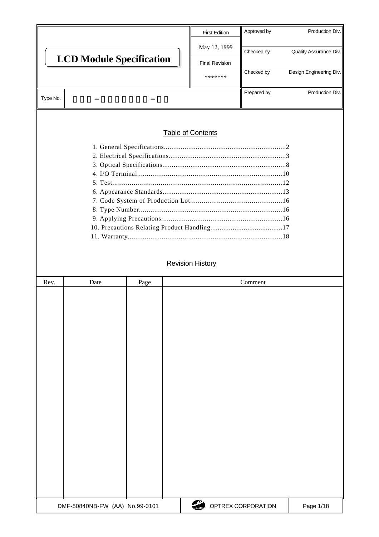|                                 |                       | <b>First Edition</b> | Approved by             | Production Div.        |  |  |
|---------------------------------|-----------------------|----------------------|-------------------------|------------------------|--|--|
|                                 |                       | May 12, 1999         | Checked by              | Quality Assurance Div. |  |  |
| <b>LCD Module Specification</b> | <b>Final Revision</b> |                      |                         |                        |  |  |
|                                 | *******               | Checked by           | Design Engineering Div. |                        |  |  |
|                                 |                       |                      |                         |                        |  |  |
| Type No.                        |                       |                      | Prepared by             | Production Div.        |  |  |
|                                 |                       |                      |                         |                        |  |  |
|                                 |                       |                      |                         |                        |  |  |
| <b>Table of Contents</b>        |                       |                      |                         |                        |  |  |

### 1. General Specifications.................................................................2 2. Electrical Specifications...............................................................3 3. Optical Specifications..................................................................8 4. I/O Terminal............................................................................10 5. Test........................................................................................12 6. Appearance Standards................................................................13 7. Code System of Production Lot................................................16 8. Type Number...........................................................................16 9. Applying Precautions................................................................16 10. Precautions Relating Product Handling.......................................17 11. Warranty..................................................................................18

|      | <b>Revision History</b>        |      |                              |           |  |
|------|--------------------------------|------|------------------------------|-----------|--|
| Rev. | Date                           | Page | Comment                      |           |  |
|      |                                |      |                              |           |  |
|      | DMF-50840NB-FW (AA) No.99-0101 |      | OPTREX CORPORATION<br>OPTREX | Page 1/18 |  |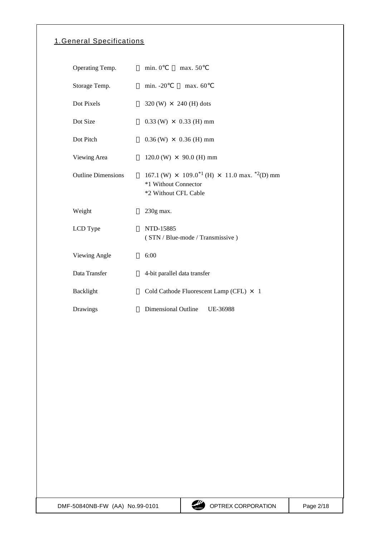# 1. General Specifications

| Operating Temp.           | min. 0<br>max. 50                                                                                                                  |
|---------------------------|------------------------------------------------------------------------------------------------------------------------------------|
| Storage Temp.             | $min. -20$<br>max. 60                                                                                                              |
| Dot Pixels                | $320 \, (W) \times 240 \, (H)$ dots                                                                                                |
| Dot Size                  | $0.33$ (W) $\times$ 0.33 (H) mm                                                                                                    |
| Dot Pitch                 | $0.36$ (W) $\times$ 0.36 (H) mm                                                                                                    |
| Viewing Area              | $120.0$ (W) $\times$ 90.0 (H) mm                                                                                                   |
| <b>Outline Dimensions</b> | 167.1 (W) $\times$ 109.0 <sup>*1</sup> (H) $\times$ 11.0 max. <sup>*2</sup> (D) mm<br>*1 Without Connector<br>*2 Without CFL Cable |
| Weight                    | 230g max.                                                                                                                          |
|                           |                                                                                                                                    |
| LCD Type                  | NTD-15885<br>(STN / Blue-mode / Transmissive)                                                                                      |
| Viewing Angle             | 6:00                                                                                                                               |
| Data Transfer             | 4-bit parallel data transfer                                                                                                       |
| Backlight                 | Cold Cathode Fluorescent Lamp (CFL) × 1                                                                                            |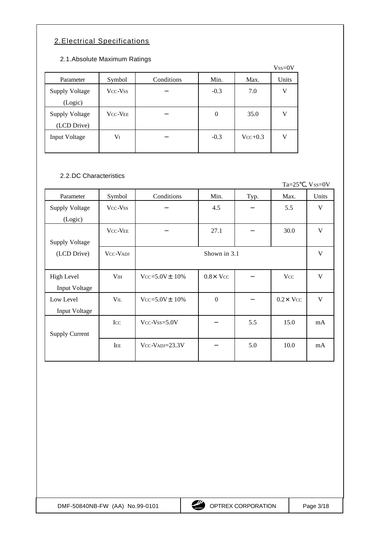# 2. Electrical Specifications

## 2.1. Absolute Maximum Ratings

|                                      |                |            |        |           | $Vss=0V$ |
|--------------------------------------|----------------|------------|--------|-----------|----------|
| Parameter                            | Symbol         | Conditions | Min.   | Max.      | Units    |
| <b>Supply Voltage</b><br>(Logic)     | Vcc-Vss        |            | $-0.3$ | 7.0       | V        |
| <b>Supply Voltage</b><br>(LCD Drive) | <b>VCC-VEE</b> |            | 0      | 35.0      | V        |
| Input Voltage                        | VI             |            | $-0.3$ | $Vcc+0.3$ | V        |

### 2.2. DC Characteristics

|                       |                 |                       |                 |      | $Ta=25$          | $Vss=0V$     |
|-----------------------|-----------------|-----------------------|-----------------|------|------------------|--------------|
| Parameter             | Symbol          | Conditions            | Min.            | Typ. | Max.             | Units        |
| <b>Supply Voltage</b> | Vcc-Vss         |                       | 4.5             |      | 5.5              | $\mathbf{V}$ |
| (Logic)               |                 |                       |                 |      |                  |              |
|                       | <b>VCC-VEE</b>  |                       | 27.1            |      | 30.0             | $\mathbf{V}$ |
| <b>Supply Voltage</b> |                 |                       |                 |      |                  |              |
| (LCD Drive)           | VCC-VADJ        |                       | Shown in 3.1    |      |                  | V            |
|                       |                 |                       |                 |      |                  |              |
| <b>High Level</b>     | V <sub>IH</sub> | $Vcc = 5.0V \pm 10\%$ | $0.8\times$ Vcc |      | <b>V</b> cc      | V            |
| Input Voltage         |                 |                       |                 |      |                  |              |
| Low Level             | $V_{IL}$        | $Vcc = 5.0V \pm 10\%$ | $\mathbf{0}$    |      | $0.2 \times$ Vcc | V            |
| Input Voltage         |                 |                       |                 |      |                  |              |
|                       | $_{\text{LCC}}$ | $Vcc$ - $Vss = 5.0V$  |                 | 5.5  | 15.0             | mA           |
| <b>Supply Current</b> |                 |                       |                 |      |                  |              |
|                       | IEE             | $Vcc-VADJ=23.3V$      |                 | 5.0  | 10.0             | mA           |
|                       |                 |                       |                 |      |                  |              |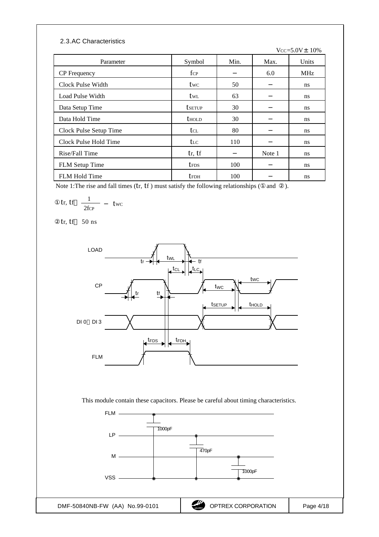#### 2.3. AC Characteristics

 $Vcc = 5.0V \pm 10%$ 

| Parameter              | Symbol                   | Min. | Max.   | Units      |
|------------------------|--------------------------|------|--------|------------|
| <b>CP</b> Frequency    | $f_{\rm CP}$             |      | 6.0    | <b>MHz</b> |
| Clock Pulse Width      | twc                      | 50   |        | ns         |
| Load Pulse Width       | twl                      | 63   |        | ns.        |
| Data Setup Time        | <b>t</b> setup           | 30   |        | ns.        |
| Data Hold Time         | <b>t</b> <sub>HOLD</sub> | 30   |        | ns         |
| Clock Pulse Setup Time | tcl                      | 80   |        | ns.        |
| Clock Pulse Hold Time  | the                      | 110  |        | ns.        |
| Rise/Fall Time         | tr, tf                   |      | Note 1 | ns         |
| <b>FLM</b> Setup Time  | <b>t</b> FDS             | 100  |        | ns.        |
| <b>FLM Hold Time</b>   | <b>t</b> FDH             | 100  |        | ns         |

Note 1: The rise and fall times  $(tr, tf)$  must satisfy the following relationships  $($  and  $)$ .

$$
tr, \text{tf } \frac{1}{2 \text{f} \cdot \text{c}^p} \quad \text{twc}
$$

tr, tf 50 ns



This module contain these capacitors. Please be careful about timing characteristics.

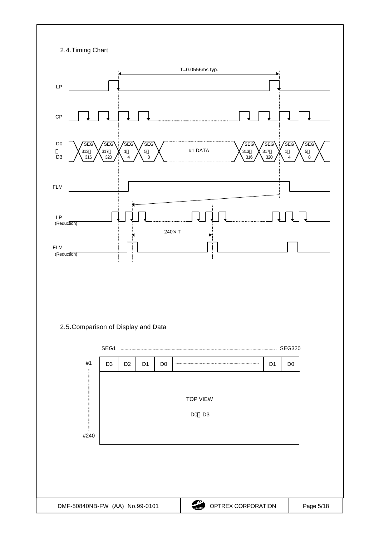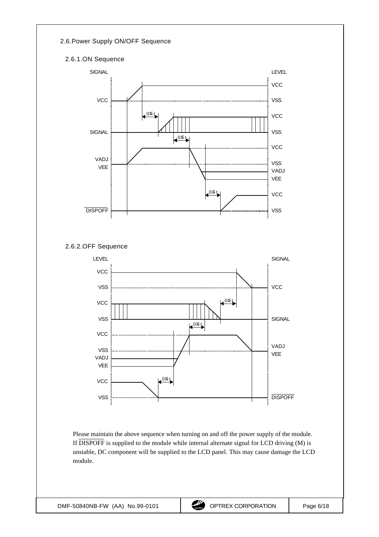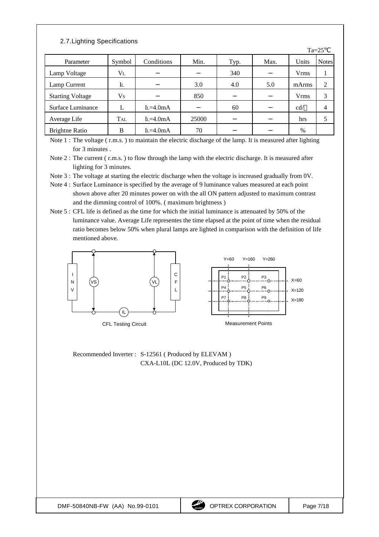## 2.7. Lighting Specifications

|                         |            |            |       |      |      |             | $1d - 2J$    |
|-------------------------|------------|------------|-------|------|------|-------------|--------------|
| Parameter               | Symbol     | Conditions | Min.  | Typ. | Max. | Units       | <b>Notes</b> |
| Lamp Voltage            | $V_{L}$    |            |       | 340  |      | <b>Vrms</b> |              |
| Lamp Current            | Il         |            | 3.0   | 4.0  | 5.0  | mArms       | 2            |
| <b>Starting Voltage</b> | Vs         |            | 850   |      |      | <b>Vrms</b> | 3            |
| Surface Luminance       |            | $L=4.0mA$  |       | 60   |      | cd/         | 4            |
| Average Life            | <b>TAL</b> | $L=4.0mA$  | 25000 |      |      | hrs         |              |
| <b>Brightne Ratio</b>   | В          | $L=4.0mA$  | 70    |      |      | %           |              |

Note 1 : The voltage (r.m.s.) to maintain the electric discharge of the lamp. It is measured after lighting for 3 minutes .

Note 2 : The current ( r.m.s. ) to flow through the lamp with the electric discharge. It is measured after lighting for 3 minutes.

Note 3 : The voltage at starting the electric discharge when the voltage is increased gradually from 0V.

- Note 4 : Surface Luminance is specified by the average of 9 luminance values measured at each point shown above after 20 minutes power on with the all ON pattern adjusted to maximum contrast and the dimming control of 100%. ( maximum brightness )
- Note 5 : CFL life is defined as the time for which the initial luminance is attenuated by 50% of the luminance value. Average Life representes the time elapsed at the point of time when the residual ratio becomes below 50% when plural lamps are lighted in comparison with the definition of life mentioned above.



Recommended Inverter : S-12561 ( Produced by ELEVAM ) CXA-L10L (DC 12.0V, Produced by TDK)  $T_{2} - 25$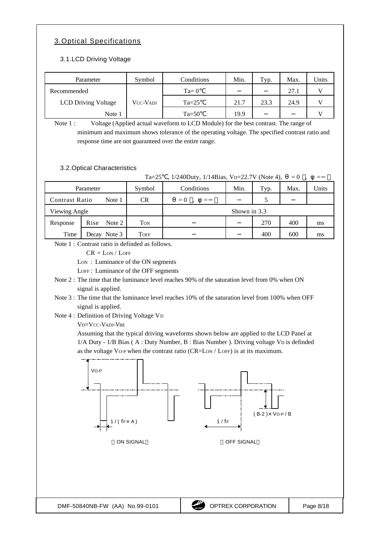## 3. Optical Specifications

### 3.1. LCD Driving Voltage

| Parameter                  | Symbol   | Conditions | Min. | Typ. | Max. | Units |
|----------------------------|----------|------------|------|------|------|-------|
| Recommended                |          | $Ta=0$     |      |      | 27.1 |       |
| <b>LCD Driving Voltage</b> | VCC-VADJ | $Ta=25$    | 21.7 | 23.3 | 24.9 |       |
| Note 1                     |          | $Ta=50$    | 19.9 |      |      |       |

Note 1 : Voltage (Applied actual waveform to LCD Module) for the best contrast. The range of minimum and maximum shows tolerance of the operating voltage. The specified contrast ratio and response time are not guaranteed over the entire range.

#### 3.2. Optical Characteristics

|                       |                   | $Ta=25$ | , 1/240Duty, 1/14Bias, VD=22.7V (Note 4), |      |      | $= 0$ | $\equiv$ |
|-----------------------|-------------------|---------|-------------------------------------------|------|------|-------|----------|
| Parameter             |                   | Symbol  | Conditions                                | Min. | Typ. | Max.  | Units    |
| <b>Contrast Ratio</b> | Note 1            | CR.     | $= 0$<br>$=$                              |      |      |       |          |
| Viewing Angle         |                   |         | Shown in 3.3                              |      |      |       |          |
| Response              | Rise<br>Note $21$ | Ton     |                                           |      | 270  | 400   | ms       |
| Time                  | Note 3<br>Decav   | Toff    |                                           |      | 400  | 600   | ms       |

Note 1 : Contrast ratio is definded as follows.

 $CR = LON / LOFF$ 

Lon: Luminance of the ON segments

LOFF : Luminance of the OFF segments

- Note 2 : The time that the luminance level reaches 90% of the saturation level from 0% when ON signal is applied.
- Note 3 : The time that the luminance level reaches 10% of the saturation level from 100% when OFF signal is applied.
- Note 4 : Definition of Driving Voltage V<sup>D</sup>

VD=VCC-VADJ-VBE

Assuming that the typical driving waveforms shown below are applied to the LCD Panel at 1/A Duty - 1/B Bias ( A : Duty Number, B : Bias Number ). Driving voltage VD is definded as the voltage VO-P when the contrast ratio (CR=LON / LOFF) is at its maximum.

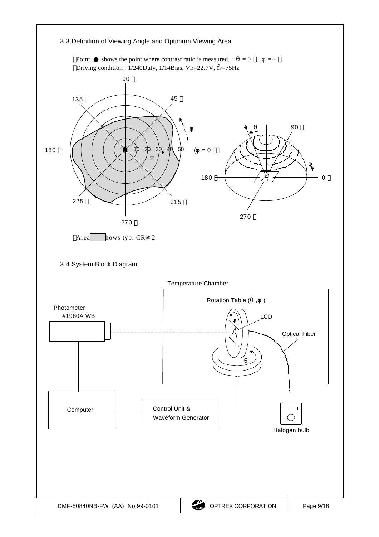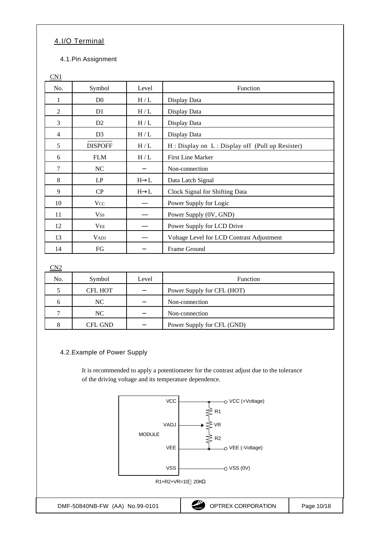# 4. I/O Terminal

4.1. Pin Assignment

| No.            | Symbol         | Level     | Function                                            |
|----------------|----------------|-----------|-----------------------------------------------------|
| 1              | D <sub>0</sub> | H/L       | Display Data                                        |
| $\overline{2}$ | D <sub>1</sub> | H/L       | Display Data                                        |
| 3              | D <sub>2</sub> | H/L       | Display Data                                        |
| $\overline{4}$ | D <sub>3</sub> | $\rm H/L$ | Display Data                                        |
| 5              | <b>DISPOFF</b> | H/L       | $H:$ Display on $L:$ Display off (Pull up Resister) |
| 6              | <b>FLM</b>     | H/L       | <b>First Line Marker</b>                            |
| $\overline{7}$ | NC             |           | Non-connection                                      |
| 8              | LP             | $H$ L     | Data Latch Signal                                   |
| 9              | CP             | $H$ L     | Clock Signal for Shifting Data                      |
| 10             | Vcc            |           | Power Supply for Logic                              |
| 11             | <b>Vss</b>     |           | Power Supply (0V, GND)                              |
| 12             | <b>VEE</b>     |           | Power Supply for LCD Drive                          |
| 13             | <b>VADJ</b>    |           | Voltage Level for LCD Contrast Adjustment           |
| 14             | FG             |           | Frame Ground                                        |

### CN2

| No. | Symbol         | Level | <b>Function</b>            |
|-----|----------------|-------|----------------------------|
|     | <b>CFL HOT</b> |       | Power Supply for CFL (HOT) |
|     | NC.            |       | Non-connection             |
|     | NC.            |       | Non-connection             |
|     | CFL GND        |       | Power Supply for CFL (GND) |

### 4.2. Example of Power Supply

It is recommended to apply a potentiometer for the contrast adjust due to the tolerance of the driving voltage and its temperature dependence.

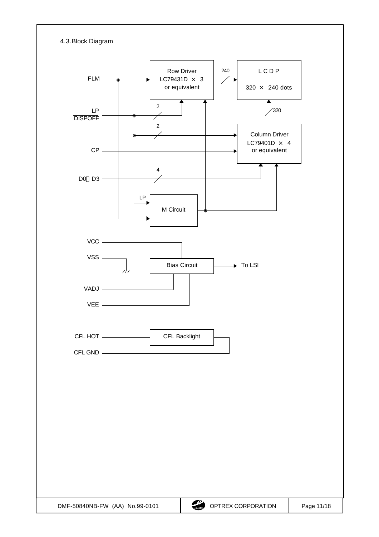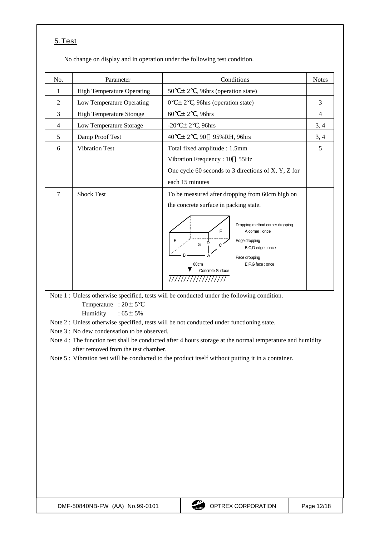## 5. Test

No change on display and in operation under the following test condition.

| No.            | Parameter                         | Conditions                                                                                                                                                                                                                                                            |                |
|----------------|-----------------------------------|-----------------------------------------------------------------------------------------------------------------------------------------------------------------------------------------------------------------------------------------------------------------------|----------------|
| 1              | <b>High Temperature Operating</b> | $50 \pm 2$ , 96hrs (operation state)                                                                                                                                                                                                                                  |                |
| $\overline{2}$ | Low Temperature Operating         | $\pm 2$ , 96hrs (operation state)<br>$\overline{0}$                                                                                                                                                                                                                   | 3              |
| 3              | <b>High Temperature Storage</b>   | 60<br>$\pm 2$ , 96hrs                                                                                                                                                                                                                                                 | $\overline{4}$ |
| $\overline{4}$ | Low Temperature Storage           | $\pm 2$ , 96hrs<br>$-20$                                                                                                                                                                                                                                              |                |
| 5              | Damp Proof Test                   | $\pm 2$ , 90 95%RH, 96hrs<br>40                                                                                                                                                                                                                                       | 3, 4           |
| 6              | <b>Vibration Test</b>             | Total fixed amplitude: 1.5mm<br>Vibration Frequency: 10 55Hz<br>One cycle 60 seconds to 3 directions of $X, Y, Z$ for<br>each 15 minutes                                                                                                                              | 5              |
| 7              | <b>Shock Test</b>                 | To be measured after dropping from 60cm high on<br>the concrete surface in packing state.<br>Dropping method corner dropping<br>F<br>A corner : once<br>Edge dropping<br>$G$ $D$<br>B,C,D edge: once<br>Face dropping<br>E,F,G face: once<br>60cm<br>Concrete Surface |                |

Note 1 : Unless otherwise specified, tests will be conducted under the following condition.

Temperature :  $20 \pm 5$ 

Humidity :  $65 \pm 5\%$ 

Note 2 : Unless otherwise specified, tests will be not conducted under functioning state.

Note 3 : No dew condensation to be observed.

Note 4 : The function test shall be conducted after 4 hours storage at the normal temperature and humidity after removed from the test chamber.

Note 5 : Vibration test will be conducted to the product itself without putting it in a container.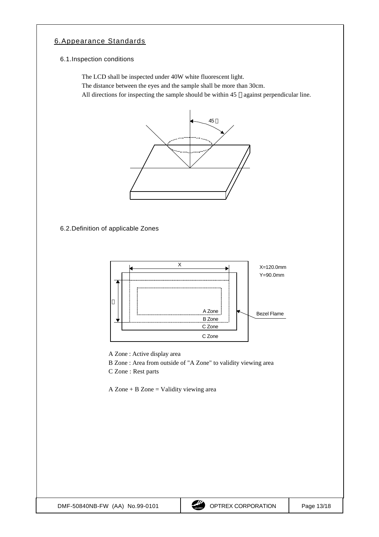## 6. Appearance Standards

#### 6.1. Inspection conditions

The LCD shall be inspected under 40W white fluorescent light.

The distance between the eyes and the sample shall be more than 30cm.

All directions for inspecting the sample should be within 45 against perpendicular line.



6.2. Definition of applicable Zones



A Zone : Active display area

B Zone : Area from outside of "A Zone" to validity viewing area

C Zone : Rest parts

A Zone + B Zone = Validity viewing area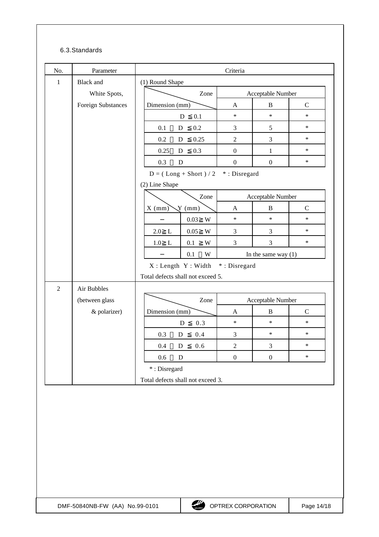### 6.3. Standards

|                | Parameter          |                                                   | Criteria          |                       |             |  |
|----------------|--------------------|---------------------------------------------------|-------------------|-----------------------|-------------|--|
| $\mathbf{1}$   | <b>Black</b> and   | (1) Round Shape                                   |                   |                       |             |  |
|                | White Spots,       | Zone                                              | Acceptable Number |                       |             |  |
|                | Foreign Substances | Dimension (mm)                                    | A                 | $\, {\bf B}$          | $\mathbf C$ |  |
|                |                    | 0.1<br>D                                          | $\ast$            | $\ast$                | $\ast$      |  |
|                |                    | $0.2\,$<br>0.1<br>${\bf D}$                       | 3                 | 5                     | $\ast$      |  |
|                |                    | 0.25<br>$0.2\,$<br>${\bf D}$                      | $\overline{2}$    | 3                     | $\ast$      |  |
|                |                    | 0.25<br>0.3<br>${\bf D}$                          | $\boldsymbol{0}$  | $\mathbf{1}$          | $\ast$      |  |
|                |                    | 0.3<br>$\mathbf D$                                | $\boldsymbol{0}$  | $\boldsymbol{0}$      | $\ast$      |  |
|                |                    | $D = (Long + Short) / 2$                          | *: Disregard      |                       |             |  |
|                |                    | (2) Line Shape                                    |                   |                       |             |  |
|                |                    | Zone                                              |                   | Acceptable Number     |             |  |
|                |                    | $Y$ (mm)<br>$X$ (mm)                              | A                 | $\bf{B}$              | $\mathbf C$ |  |
|                |                    | $0.03\,$<br>W                                     | $\ast$            | $\ast$                | $\ast$      |  |
|                |                    | 2.0<br>$\mathbf{L}$<br>$0.05\,$<br>W              | 3                 | $\mathfrak{Z}$        | $\ast$      |  |
|                |                    | $0.1\,$<br>1.0<br>W<br>$\mathbf{L}$               | 3                 | $\mathfrak{Z}$        | $\ast$      |  |
|                |                    | 0.1<br>W                                          |                   | In the same way $(1)$ |             |  |
|                |                    | X: Length Y: Width                                | *: Disregard      |                       |             |  |
|                |                    | Total defects shall not exceed 5.                 |                   |                       |             |  |
| $\overline{2}$ | Air Bubbles        |                                                   |                   |                       |             |  |
|                | (between glass     | Zone                                              | Acceptable Number |                       |             |  |
|                | & polarizer)       | Dimension (mm)                                    | $\mathbf{A}$      | $\, {\bf B}$          | $\mathbf C$ |  |
|                |                    | 0.3<br>D                                          | $\ast$            | $\ast$                | $\ast$      |  |
|                |                    | 0.3<br>0.4<br>${\bf D}$                           | $\mathfrak{Z}$    | $\ast$                | $\ast$      |  |
|                |                    | $D = 0.6$<br>0.4                                  | $\sqrt{2}$        | $\sqrt{3}$            | $\ast$      |  |
|                |                    |                                                   |                   | $\boldsymbol{0}$      | $\ast$      |  |
|                |                    | $0.6\,$<br>$\mathbf D$                            | $\boldsymbol{0}$  |                       |             |  |
|                |                    | *: Disregard<br>Total defects shall not exceed 3. |                   |                       |             |  |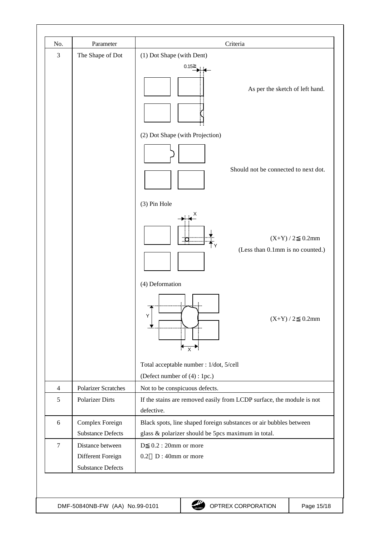| 3              | The Shape of Dot                      | (1) Dot Shape (with Dent)<br>0.15<br>As per the sketch of left hand.<br>(2) Dot Shape (with Projection)<br>Should not be connected to next dot.<br>(3) Pin Hole |
|----------------|---------------------------------------|-----------------------------------------------------------------------------------------------------------------------------------------------------------------|
|                |                                       |                                                                                                                                                                 |
|                |                                       |                                                                                                                                                                 |
|                |                                       |                                                                                                                                                                 |
|                |                                       |                                                                                                                                                                 |
|                |                                       |                                                                                                                                                                 |
|                |                                       |                                                                                                                                                                 |
|                |                                       |                                                                                                                                                                 |
|                |                                       |                                                                                                                                                                 |
|                |                                       | $(X+Y)/2$<br>$0.2$ mm<br>(Less than 0.1mm is no counted.)                                                                                                       |
|                |                                       | (4) Deformation                                                                                                                                                 |
|                |                                       | Y<br>$0.2$ mm<br>$(X+Y)/2$<br>$\leftrightarrow$                                                                                                                 |
|                |                                       | Total acceptable number : 1/dot, 5/cell                                                                                                                         |
|                |                                       | (Defect number of (4) : 1pc.)                                                                                                                                   |
| $\overline{4}$ | <b>Polarizer Scratches</b>            | Not to be conspicuous defects.                                                                                                                                  |
| 5              | Polarizer Dirts                       | If the stains are removed easily from LCDP surface, the module is not<br>defective.                                                                             |
| 6              | Complex Foreign                       | Black spots, line shaped foreign substances or air bubbles between                                                                                              |
|                | <b>Substance Defects</b>              | glass & polarizer should be 5pcs maximum in total.                                                                                                              |
| $\tau$         | Distance between<br>Different Foreign | $0.2:20$ mm or more<br>D<br>D: 40mm or more<br>0.2                                                                                                              |
|                | <b>Substance Defects</b>              |                                                                                                                                                                 |
|                |                                       |                                                                                                                                                                 |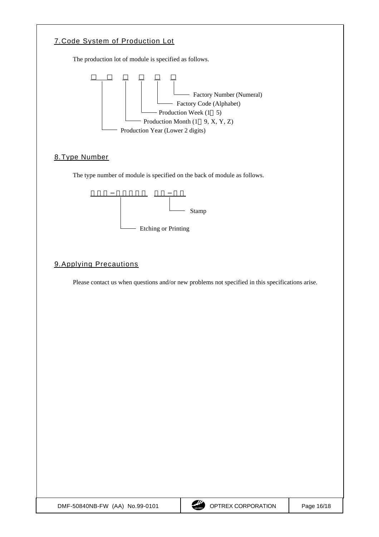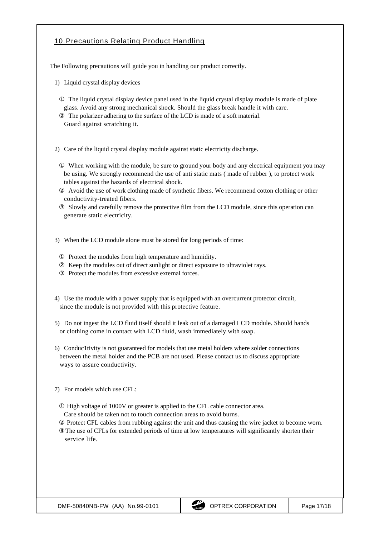## 10. Precautions Relating Product Handling

The Following precautions will guide you in handling our product correctly.

1) Liquid crystal display devices

The liquid crystal display device panel used in the liquid crystal display module is made of plate glass. Avoid any strong mechanical shock. Should the glass break handle it with care. The polarizer adhering to the surface of the LCD is made of a soft material.

Guard against scratching it.

2) Care of the liquid crystal display module against static electricity discharge.

When working with the module, be sure to ground your body and any electrical equipment you may be using. We strongly recommend the use of anti static mats ( made of rubber ), to protect work tables against the hazards of electrical shock.

Avoid the use of work clothing made of synthetic fibers. We recommend cotton clothing or other conductivity-treated fibers.

Slowly and carefully remove the protective film from the LCD module, since this operation can generate static electricity.

3) When the LCD module alone must be stored for long periods of time:

Protect the modules from high temperature and humidity. Keep the modules out of direct sunlight or direct exposure to ultraviolet rays. Protect the modules from excessive external forces.

- 4) Use the module with a power supply that is equipped with an overcurrent protector circuit, since the module is not provided with this protective feature.
- 5) Do not ingest the LCD fluid itself should it leak out of a damaged LCD module. Should hands or clothing come in contact with LCD fluid, wash immediately with soap.
- 6) Conduc1tivity is not guaranteed for models that use metal holders where solder connections between the metal holder and the PCB are not used. Please contact us to discuss appropriate ways to assure conductivity.
- 7) For models which use CFL:

High voltage of 1000V or greater is applied to the CFL cable connector area.

Care should be taken not to touch connection areas to avoid burns.

 Protect CFL cables from rubbing against the unit and thus causing the wire jacket to become worn. The use of CFLs for extended periods of time at low temperatures will significantly shorten their service life.